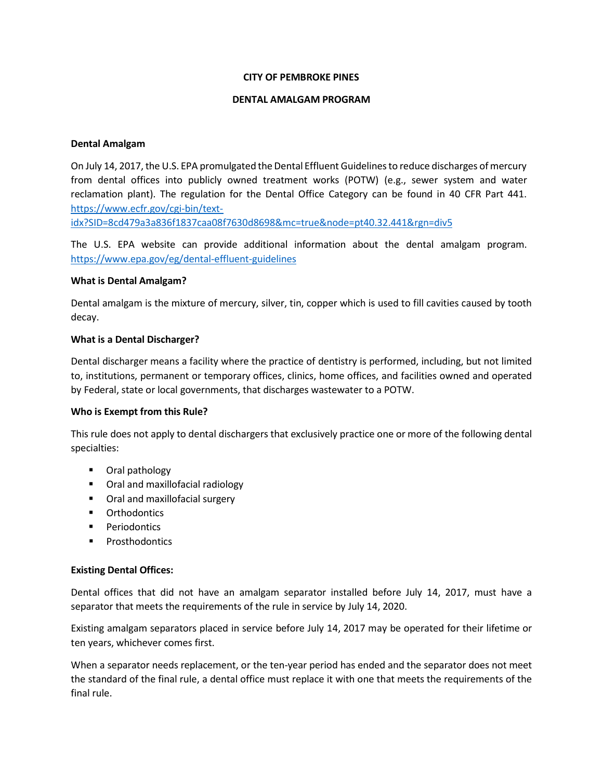#### **CITY OF PEMBROKE PINES**

#### **DENTAL AMALGAM PROGRAM**

#### **Dental Amalgam**

On July 14, 2017, the U.S. EPA promulgated the Dental Effluent Guidelines to reduce discharges of mercury from dental offices into publicly owned treatment works (POTW) (e.g., sewer system and water reclamation plant). The regulation for the Dental Office Category can be found in 40 CFR Part 441. [https://www.ecfr.gov/cgi-bin/text-](https://www.ecfr.gov/cgi-bin/text-idx?SID=8cd479a3a836f1837caa08f7630d8698&mc=true&node=pt40.32.441&rgn=div5)

[idx?SID=8cd479a3a836f1837caa08f7630d8698&mc=true&node=pt40.32.441&rgn=div5](https://www.ecfr.gov/cgi-bin/text-idx?SID=8cd479a3a836f1837caa08f7630d8698&mc=true&node=pt40.32.441&rgn=div5)

The U.S. EPA website can provide additional information about the dental amalgam program. <https://www.epa.gov/eg/dental-effluent-guidelines>

#### **What is Dental Amalgam?**

Dental amalgam is the mixture of mercury, silver, tin, copper which is used to fill cavities caused by tooth decay.

## **What is a Dental Discharger?**

Dental discharger means a facility where the practice of dentistry is performed, including, but not limited to, institutions, permanent or temporary offices, clinics, home offices, and facilities owned and operated by Federal, state or local governments, that discharges wastewater to a POTW.

## **Who is Exempt from this Rule?**

This rule does not apply to dental dischargers that exclusively practice one or more of the following dental specialties:

- **•** Oral pathology
- Oral and maxillofacial radiology
- **•** Oral and maxillofacial surgery
- **•** Orthodontics
- **Periodontics**
- **Prosthodontics**

## **Existing Dental Offices:**

Dental offices that did not have an amalgam separator installed before July 14, 2017, must have a separator that meets the requirements of the rule in service by July 14, 2020.

Existing amalgam separators placed in service before July 14, 2017 may be operated for their lifetime or ten years, whichever comes first.

When a separator needs replacement, or the ten-year period has ended and the separator does not meet the standard of the final rule, a dental office must replace it with one that meets the requirements of the final rule.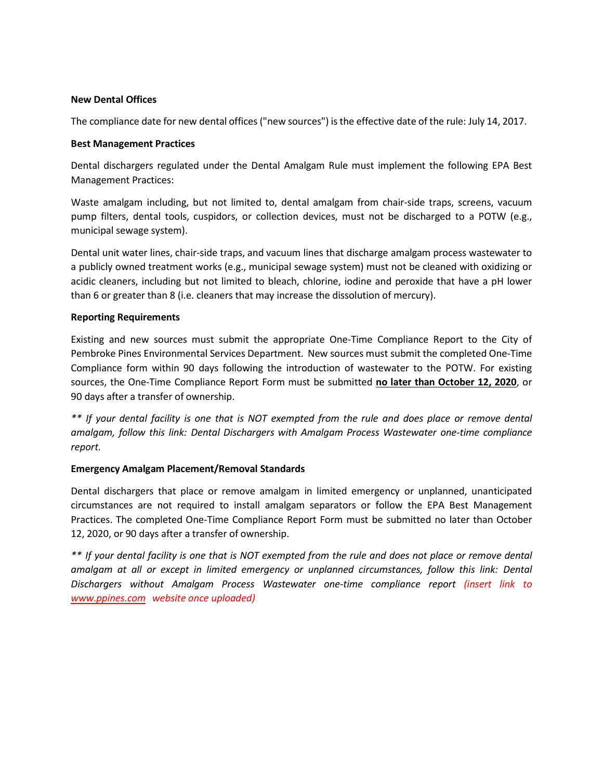## **New Dental Offices**

The compliance date for new dental offices ("new sources") isthe effective date of the rule: July 14, 2017.

### **Best Management Practices**

Dental dischargers regulated under the Dental Amalgam Rule must implement the following EPA Best Management Practices:

Waste amalgam including, but not limited to, dental amalgam from chair-side traps, screens, vacuum pump filters, dental tools, cuspidors, or collection devices, must not be discharged to a POTW (e.g., municipal sewage system).

Dental unit water lines, chair-side traps, and vacuum lines that discharge amalgam process wastewater to a publicly owned treatment works (e.g., municipal sewage system) must not be cleaned with oxidizing or acidic cleaners, including but not limited to bleach, chlorine, iodine and peroxide that have a pH lower than 6 or greater than 8 (i.e. cleaners that may increase the dissolution of mercury).

#### **Reporting Requirements**

Existing and new sources must submit the appropriate One-Time Compliance Report to the City of Pembroke Pines Environmental Services Department. New sources must submit the completed One-Time Compliance form within 90 days following the introduction of wastewater to the POTW. For existing sources, the One-Time Compliance Report Form must be submitted **no later than October 12, 2020**, or 90 days after a transfer of ownership.

\*\* If your dental facility is one that is NOT exempted from the rule and does place or remove dental *amalgam, follow this link: Dental Dischargers with Amalgam Process Wastewater one-time compliance report.*

## **Emergency Amalgam Placement/Removal Standards**

Dental dischargers that place or remove amalgam in limited emergency or unplanned, unanticipated circumstances are not required to install amalgam separators or follow the EPA Best Management Practices. The completed One-Time Compliance Report Form must be submitted no later than October 12, 2020, or 90 days after a transfer of ownership.

\*\* If your dental facility is one that is NOT exempted from the rule and does not place or remove dental *amalgam at all or except in limited emergency or unplanned circumstances, follow this link: Dental Dischargers without Amalgam Process Wastewater one-time compliance report (insert link to www.ppines.com website once uploaded)*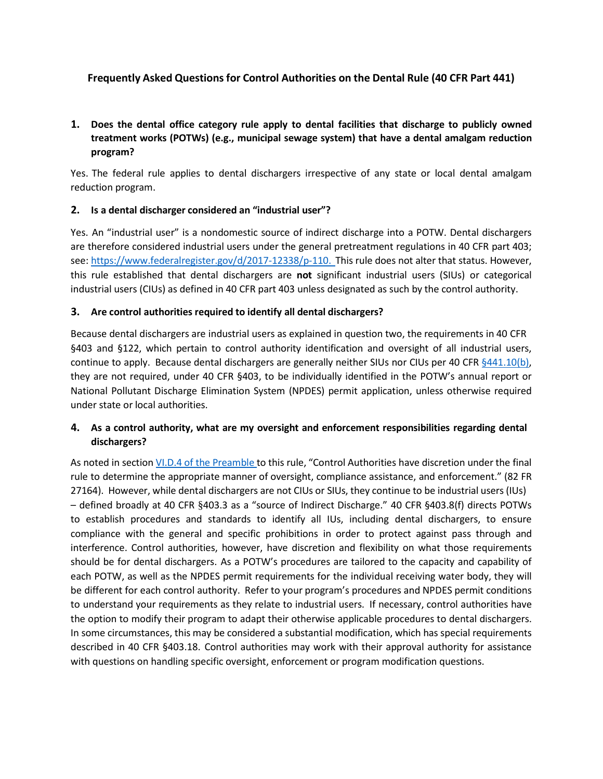# **Frequently Asked Questions for Control Authorities on the Dental Rule (40 CFR Part 441)**

# **1. Does the dental office category rule apply to dental facilities that discharge to publicly owned treatment works (POTWs) (e.g., municipal sewage system) that have a dental amalgam reduction program?**

Yes. The federal rule applies to dental dischargers irrespective of any state or local dental amalgam reduction program.

## **2. Is a dental discharger considered an "industrial user"?**

Yes. An "industrial user" is a nondomestic source of indirect discharge into a POTW. Dental dischargers are therefore considered industrial users under the general pretreatment regulations in 40 CFR part 403; see: [https://www.federalregister.gov/d/2017-12338/p-110.](https://www.federalregister.gov/d/2017-12338/p-110) This rule does not alter that status. However, this rule established that dental dischargers are **not** significant industrial users (SIUs) or categorical industrial users (CIUs) as defined in 40 CFR part 403 unless designated as such by the control authority.

## **3. Are control authorities required to identify all dental dischargers?**

Because dental dischargers are industrial users as explained in question two, the requirements in 40 CFR §403 and §122, which pertain to control authority identification and oversight of all industrial users, continue to apply. Because dental dischargers are generally neither SIUs nor CIUs per 40 CFR [§441.10\(b\),](https://www.federalregister.gov/d/2017-12338/p-265) they are not required, under 40 CFR §403, to be individually identified in the POTW's annual report or National Pollutant Discharge Elimination System (NPDES) permit application, unless otherwise required under state or local authorities.

# **4. As a control authority, what are my oversight and enforcement responsibilities regarding dental dischargers?**

As noted in section VI.D.4 of the [Preamble](https://www.federalregister.gov/d/2017-12338/p-163) to this rule, "Control Authorities have discretion under the final rule to determine the appropriate manner of oversight, compliance assistance, and enforcement." (82 FR 27164). However, while dental dischargers are not CIUs or SIUs, they continue to be industrial users (IUs) – defined broadly at 40 CFR §403.3 as a "source of Indirect Discharge." 40 CFR §403.8(f) directs POTWs to establish procedures and standards to identify all IUs, including dental dischargers, to ensure compliance with the general and specific prohibitions in order to protect against pass through and interference. Control authorities, however, have discretion and flexibility on what those requirements should be for dental dischargers. As a POTW's procedures are tailored to the capacity and capability of each POTW, as well as the NPDES permit requirements for the individual receiving water body, they will be different for each control authority. Refer to your program's procedures and NPDES permit conditions to understand your requirements as they relate to industrial users. If necessary, control authorities have the option to modify their program to adapt their otherwise applicable procedures to dental dischargers. In some circumstances, this may be considered a substantial modification, which has special requirements described in 40 CFR §403.18. Control authorities may work with their approval authority for assistance with questions on handling specific oversight, enforcement or program modification questions.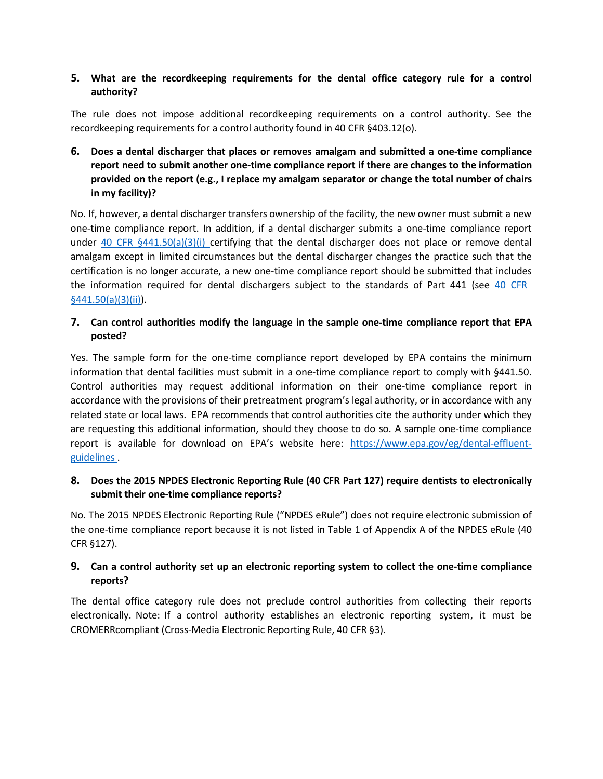# **5. What are the recordkeeping requirements for the dental office category rule for a control authority?**

The rule does not impose additional recordkeeping requirements on a control authority. See the recordkeeping requirements for a control authority found in 40 CFR §403.12(o).

# **6. Does a dental discharger that places or removes amalgam and submitted a one-time compliance report need to submit another one-time compliance report if there are changes to the information provided on the report (e.g., I replace my amalgam separator or change the total number of chairs in my facility)?**

No. If, however, a dental discharger transfers ownership of the facility, the new owner must submit a new one-time compliance report. In addition, if a dental discharger submits a one-time compliance report under [40](https://www.federalregister.gov/d/2017-12338/p-313) CFR  $\S 441.50(a)(3)(i)$  certifying that the dental discharger does not place or remove dental amalgam except in limited circumstances but the dental discharger changes the practice such that the certification is no longer accurate, a new one-time compliance report should be submitted that includes the information required for dental dischargers subject to the standards of Part 441 (see 40 [CFR](https://www.federalregister.gov/d/2017-12338/p-313) [§441.50\(a\)\(3\)\(ii\)\).](https://www.federalregister.gov/d/2017-12338/p-313)

## **7. Can control authorities modify the language in the sample one-time compliance report that EPA posted?**

Yes. The sample form for the one-time compliance report developed by EPA contains the minimum information that dental facilities must submit in a one-time compliance report to comply with §441.50. Control authorities may request additional information on their one-time compliance report in accordance with the provisions of their pretreatment program's legal authority, or in accordance with any related state or local laws. EPA recommends that control authorities cite the authority under which they are requesting this additional information, should they choose to do so. A sample one-time compliance report is available for download on EPA's website here: [https://www.epa.gov/eg/dental-effluent](https://www.epa.gov/eg/dental-effluent-guidelines)[guidelines](https://www.epa.gov/eg/dental-effluent-guidelines) [.](https://www.epa.gov/eg/dental-effluent-guidelines)

# **8. Does the 2015 NPDES Electronic Reporting Rule (40 CFR Part 127) require dentists to electronically submit their one-time compliance reports?**

No. The 2015 NPDES Electronic Reporting Rule ("NPDES eRule") does not require electronic submission of the one-time compliance report because it is not listed in Table 1 of Appendix A of the NPDES eRule (40 CFR §127).

# **9. Can a control authority set up an electronic reporting system to collect the one-time compliance reports?**

The dental office category rule does not preclude control authorities from collecting their reports electronically. Note: If a control authority establishes an electronic reporting system, it must be CROMERRcompliant (Cross-Media Electronic Reporting Rule, 40 CFR §3).